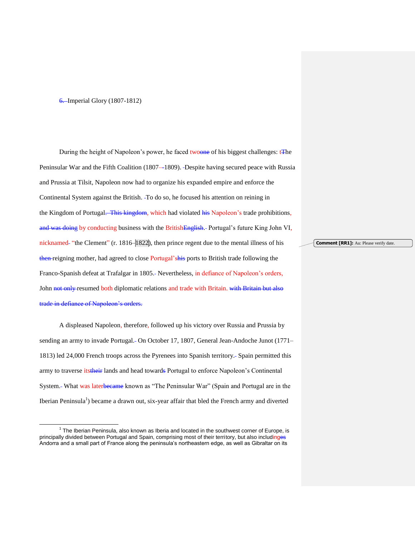## 6. Imperial Glory (1807-1812)

l

During the height of Napoleon's power, he faced twoone of his biggest challenges: **The** Peninsular War and the Fifth Coalition (1807--1809). -Despite having secured peace with Russia and Prussia at Tilsit, Napoleon now had to organize his expanded empire and enforce the Continental System against the British. To do so, he focused his attention on reining in the Kingdom of Portugal. This kingdom, which had violated his Napoleon's trade prohibitions, and was doing by conducting business with the BritishEnglish. Portugal's future King John VI, nicknamed- "the Clement" (r. 1816–1822), then prince regent due to the mental illness of his then reigning mother, had agreed to close Portugal'shis ports to British trade following the Franco-Spanish defeat at Trafalgar in 1805. Nevertheless, in defiance of Napoleon's orders, John not only resumed both diplomatic relations and trade with Britain. with Britain but also trade in defiance of Napoleon's orders.

A displeased Napoleon, therefore, followed up his victory over Russia and Prussia by sending an army to invade Portugal. On October 17, 1807, General Jean-Andoche Junot (1771– 1813) led 24,000 French troops across the Pyrenees into Spanish territory. Spain permitted this army to traverse its their lands and head towards Portugal to enforce Napoleon's Continental System. What was laterbecame known as "The Peninsular War" (Spain and Portugal are in the Iberian Peninsula<sup>1</sup>) became a drawn out, six-year affair that bled the French army and diverted

**Comment [RR1]:** Au: Please verify date.

 $1$  The Iberian Peninsula, also known as Iberia and located in the southwest corner of Europe, is principally divided between Portugal and Spain, comprising most of their territory, but also includinges Andorra and a small part of France along the peninsula's northeastern edge, as well as Gibraltar on its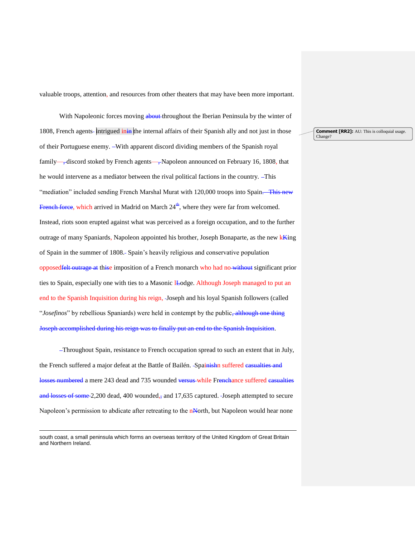valuable troops, attention, and resources from other theaters that may have been more important.

With Napoleonic forces moving about throughout the Iberian Peninsula by the winter of 1808, French agents-intrigued inin the internal affairs of their Spanish ally and not just in those of their Portuguese enemy. -With apparent discord dividing members of the Spanish royal family—, discord stoked by French agents—, Napoleon announced on February 16, 1808, that he would intervene as a mediator between the rival political factions in the country. This "mediation" included sending French Marshal Murat with 120,000 troops into Spain. This new French force, which arrived in Madrid on March  $24^{\frac{th}{n}}$ , where they were far from welcomed. Instead, riots soon erupted against what was perceived as a foreign occupation, and to the further outrage of many Spaniards, Napoleon appointed his brother, Joseph Bonaparte, as the new k<sup>king</sup> of Spain in the summer of 1808. Spain's heavily religious and conservative population opposedfelt outrage at thise imposition of a French monarch who had no without significant prior ties to Spain, especially one with ties to a Masonic *L*-odge. Although Joseph managed to put an end to the Spanish Inquisition during his reign, Joseph and his loyal Spanish followers (called "*Josefinos*" by rebellious Spaniards) were held in contempt by the public<del>, although one thing</del> Joseph accomplished during his reign was to finally put an end to the Spanish Inquisition.

 Throughout Spain, resistance to French occupation spread to such an extent that in July, the French suffered a major defeat at the Battle of Bailén. -Spainishn suffered easualties and losses numbered a mere 243 dead and 735 wounded versus while Frenchance suffered casualties and losses of some 2,200 dead, 400 wounded,, and 17,635 captured. Joseph attempted to secure Napoleon's permission to abdicate after retreating to the nNorth, but Napoleon would hear none

 $\overline{a}$ 

**Comment [RR2]:** AU: This is colloquial usage. Change?

south coast, a small peninsula which forms an overseas territory of the United Kingdom of Great Britain and Northern Ireland.